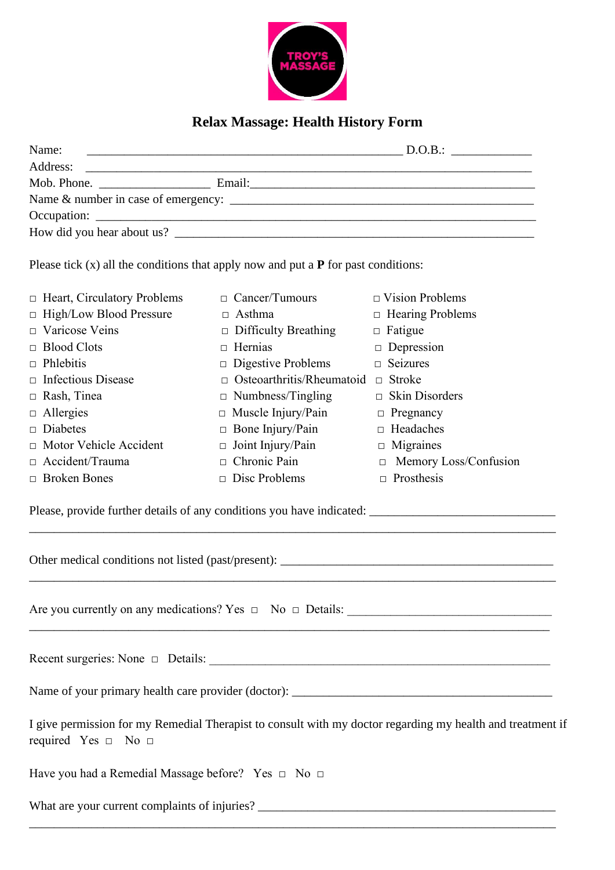

## **Relax Massage: Health History Form**

| Name:       |                                                                                                                 | D.O.B.: |
|-------------|-----------------------------------------------------------------------------------------------------------------|---------|
| Address:    |                                                                                                                 |         |
| Mob. Phone. | Email: 2008. 2008. 2009. 2009. 2010. 2010. 2010. 2010. 2010. 2010. 2010. 2010. 2010. 2010. 2010. 2010. 2010. 20 |         |
|             |                                                                                                                 |         |
|             |                                                                                                                 |         |
|             |                                                                                                                 |         |

Please tick (x) all the conditions that apply now and put a **P** for past conditions:

| $\Box$ Heart, Circulatory Problems | $\Box$ Cancer/Tumours            | $\Box$ Vision Problems       |
|------------------------------------|----------------------------------|------------------------------|
| $\Box$ High/Low Blood Pressure     | $\Box$ Asthma                    | $\Box$ Hearing Problems      |
| $\Box$ Varicose Veins              | $\Box$ Difficulty Breathing      | $\Box$ Fatigue               |
| $\Box$ Blood Clots                 | $\Box$ Hernias                   | $\Box$ Depression            |
| $\Box$ Phlebitis                   | $\Box$ Digestive Problems        | $\Box$ Seizures              |
| $\Box$ Infectious Disease          | $\Box$ Osteoarthritis/Rheumatoid | Stroke<br>$\Box$             |
| $\Box$ Rash, Tinea                 | $\Box$ Numbness/Tingling         | $\Box$ Skin Disorders        |
| $\Box$ Allergies                   | $\Box$ Muscle Injury/Pain        | $\Box$ Pregnancy             |
| $\Box$ Diabetes                    | $\Box$ Bone Injury/Pain          | $\Box$ Headaches             |
| $\Box$ Motor Vehicle Accident      | $\Box$ Joint Injury/Pain         | $\Box$ Migraines             |
| $\Box$ Accident/Trauma             | $\Box$ Chronic Pain              | $\Box$ Memory Loss/Confusion |
| $\Box$ Broken Bones                | Disc Problems                    | Prosthesis<br>П              |

\_\_\_\_\_\_\_\_\_\_\_\_\_\_\_\_\_\_\_\_\_\_\_\_\_\_\_\_\_\_\_\_\_\_\_\_\_\_\_\_\_\_\_\_\_\_\_\_\_\_\_\_\_\_\_\_\_\_\_\_\_\_\_\_\_\_\_\_\_\_\_\_\_\_\_\_\_\_\_\_\_\_\_\_\_

\_\_\_\_\_\_\_\_\_\_\_\_\_\_\_\_\_\_\_\_\_\_\_\_\_\_\_\_\_\_\_\_\_\_\_\_\_\_\_\_\_\_\_\_\_\_\_\_\_\_\_\_\_\_\_\_\_\_\_\_\_\_\_\_\_\_\_\_\_\_\_\_\_\_\_\_\_\_\_\_\_\_\_\_\_

Please, provide further details of any conditions you have indicated: \_\_\_\_\_\_\_\_\_\_\_\_\_\_\_\_\_\_\_\_\_\_\_\_\_\_\_\_\_\_

Other medical conditions not listed (past/present): \_\_\_\_\_\_\_\_\_\_\_\_\_\_\_\_\_\_\_\_\_\_\_\_\_\_\_\_\_\_\_\_\_\_\_\_\_\_\_\_\_\_\_\_

Are you currently on any medications? Yes  $\Box$  No  $\Box$  Details:

Recent surgeries: None  $\Box$  Details:

Name of your primary health care provider (doctor): \_\_\_\_\_\_\_\_\_\_\_\_\_\_\_\_\_\_\_\_\_\_\_\_\_\_\_\_\_\_\_\_\_\_\_\_\_\_\_\_\_\_

I give permission for my Remedial Therapist to consult with my doctor regarding my health and treatment if required Yes  $\Box$  No  $\Box$ 

\_\_\_\_\_\_\_\_\_\_\_\_\_\_\_\_\_\_\_\_\_\_\_\_\_\_\_\_\_\_\_\_\_\_\_\_\_\_\_\_\_\_\_\_\_\_\_\_\_\_\_\_\_\_\_\_\_\_\_\_\_\_\_\_\_\_\_\_\_\_\_\_\_\_\_\_\_\_\_\_\_\_\_\_\_

Have you had a Remedial Massage before? Yes □ No □

What are your current complaints of injuries? \_\_\_\_\_\_\_\_\_\_\_\_\_\_\_\_\_\_\_\_\_\_\_\_\_\_\_\_\_\_\_\_\_\_\_\_\_\_\_\_\_\_\_\_\_\_\_\_